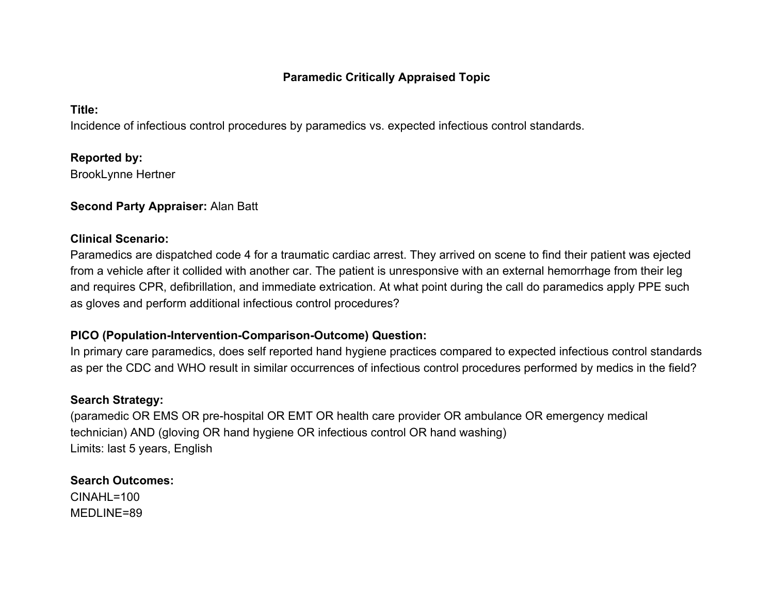## **Paramedic Critically Appraised Topic**

#### **Title:**

Incidence of infectious control procedures by paramedics vs. expected infectious control standards.

### **Reported by:**

BrookLynne Hertner

### **Second Party Appraiser:** Alan Batt

### **Clinical Scenario:**

Paramedics are dispatched code 4 for a traumatic cardiac arrest. They arrived on scene to find their patient was ejected from a vehicle after it collided with another car. The patient is unresponsive with an external hemorrhage from their leg and requires CPR, defibrillation, and immediate extrication. At what point during the call do paramedics apply PPE such as gloves and perform additional infectious control procedures?

## **PICO (Population-Intervention-Comparison-Outcome) Question:**

In primary care paramedics, does self reported hand hygiene practices compared to expected infectious control standards as per the CDC and WHO result in similar occurrences of infectious control procedures performed by medics in the field?

# **Search Strategy:**

(paramedic OR EMS OR pre-hospital OR EMT OR health care provider OR ambulance OR emergency medical technician) AND (gloving OR hand hygiene OR infectious control OR hand washing) Limits: last 5 years, English

**Search Outcomes:** CINAHL=100 MEDLINE=89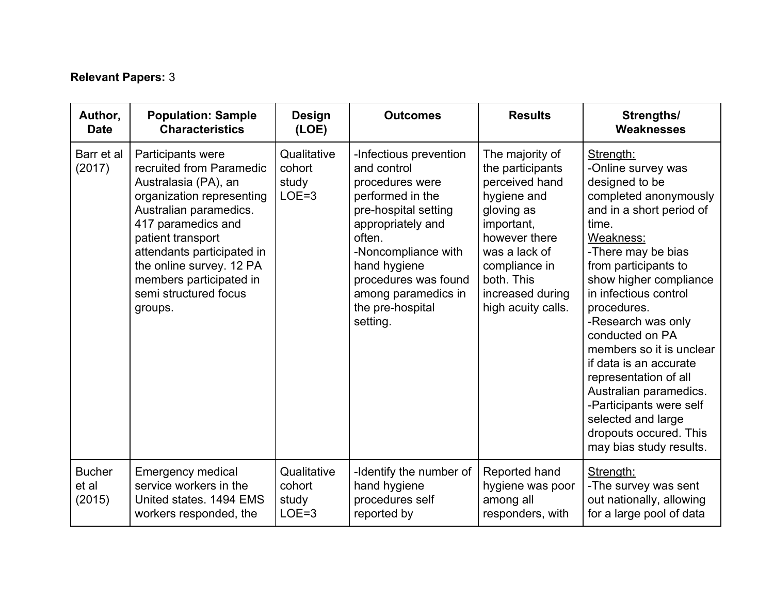# **Relevant Papers:** 3

| Author,<br><b>Date</b>           | <b>Population: Sample</b><br><b>Characteristics</b>                                                                                                                                                                                                                                              | <b>Design</b><br>(LOE)                    | <b>Outcomes</b>                                                                                                                                                                                                                                           | <b>Results</b>                                                                                                                                                                                              | Strengths/<br>Weaknesses                                                                                                                                                                                                                                                                                                                                                                                                                                                                             |
|----------------------------------|--------------------------------------------------------------------------------------------------------------------------------------------------------------------------------------------------------------------------------------------------------------------------------------------------|-------------------------------------------|-----------------------------------------------------------------------------------------------------------------------------------------------------------------------------------------------------------------------------------------------------------|-------------------------------------------------------------------------------------------------------------------------------------------------------------------------------------------------------------|------------------------------------------------------------------------------------------------------------------------------------------------------------------------------------------------------------------------------------------------------------------------------------------------------------------------------------------------------------------------------------------------------------------------------------------------------------------------------------------------------|
| Barr et al<br>(2017)             | Participants were<br>recruited from Paramedic<br>Australasia (PA), an<br>organization representing<br>Australian paramedics.<br>417 paramedics and<br>patient transport<br>attendants participated in<br>the online survey. 12 PA<br>members participated in<br>semi structured focus<br>groups. | Qualitative<br>cohort<br>study<br>$LOE=3$ | -Infectious prevention<br>and control<br>procedures were<br>performed in the<br>pre-hospital setting<br>appropriately and<br>often.<br>-Noncompliance with<br>hand hygiene<br>procedures was found<br>among paramedics in<br>the pre-hospital<br>setting. | The majority of<br>the participants<br>perceived hand<br>hygiene and<br>gloving as<br>important,<br>however there<br>was a lack of<br>compliance in<br>both. This<br>increased during<br>high acuity calls. | Strength:<br>-Online survey was<br>designed to be<br>completed anonymously<br>and in a short period of<br>time.<br>Weakness:<br>-There may be bias<br>from participants to<br>show higher compliance<br>in infectious control<br>procedures.<br>-Research was only<br>conducted on PA<br>members so it is unclear<br>if data is an accurate<br>representation of all<br>Australian paramedics.<br>-Participants were self<br>selected and large<br>dropouts occured. This<br>may bias study results. |
| <b>Bucher</b><br>et al<br>(2015) | <b>Emergency medical</b><br>service workers in the<br>United states. 1494 EMS<br>workers responded, the                                                                                                                                                                                          | Qualitative<br>cohort<br>study<br>$LOE=3$ | -Identify the number of<br>hand hygiene<br>procedures self<br>reported by                                                                                                                                                                                 | Reported hand<br>hygiene was poor<br>among all<br>responders, with                                                                                                                                          | Strength:<br>-The survey was sent<br>out nationally, allowing<br>for a large pool of data                                                                                                                                                                                                                                                                                                                                                                                                            |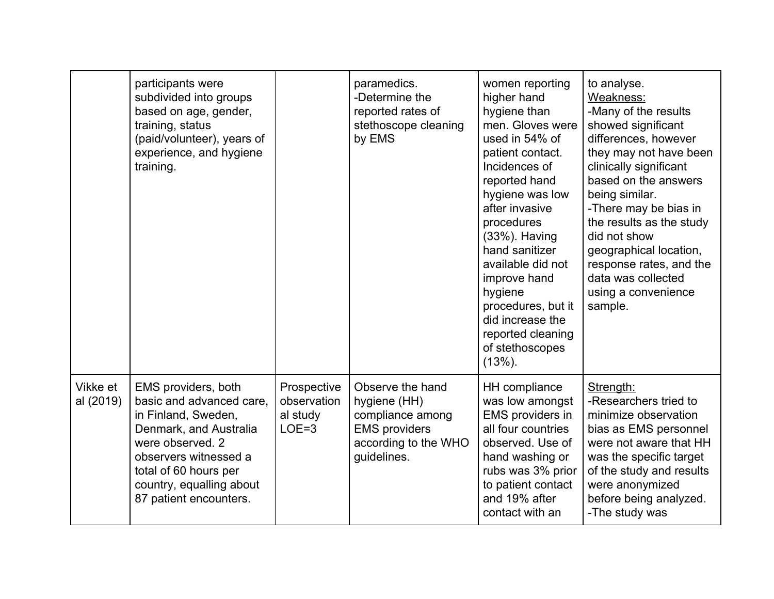|                       | participants were<br>subdivided into groups<br>based on age, gender,<br>training, status<br>(paid/volunteer), years of<br>experience, and hygiene<br>training.                                                               |                                                   | paramedics.<br>-Determine the<br>reported rates of<br>stethoscope cleaning<br>by EMS                                | women reporting<br>higher hand<br>hygiene than<br>men. Gloves were<br>used in 54% of<br>patient contact.<br>Incidences of<br>reported hand<br>hygiene was low<br>after invasive<br>procedures<br>(33%). Having<br>hand sanitizer<br>available did not<br>improve hand<br>hygiene<br>procedures, but it<br>did increase the<br>reported cleaning<br>of stethoscopes<br>$(13\%)$ . | to analyse.<br>Weakness:<br>-Many of the results<br>showed significant<br>differences, however<br>they may not have been<br>clinically significant<br>based on the answers<br>being similar.<br>-There may be bias in<br>the results as the study<br>did not show<br>geographical location,<br>response rates, and the<br>data was collected<br>using a convenience<br>sample. |
|-----------------------|------------------------------------------------------------------------------------------------------------------------------------------------------------------------------------------------------------------------------|---------------------------------------------------|---------------------------------------------------------------------------------------------------------------------|----------------------------------------------------------------------------------------------------------------------------------------------------------------------------------------------------------------------------------------------------------------------------------------------------------------------------------------------------------------------------------|--------------------------------------------------------------------------------------------------------------------------------------------------------------------------------------------------------------------------------------------------------------------------------------------------------------------------------------------------------------------------------|
| Vikke et<br>al (2019) | EMS providers, both<br>basic and advanced care.<br>in Finland, Sweden,<br>Denmark, and Australia<br>were observed. 2<br>observers witnessed a<br>total of 60 hours per<br>country, equalling about<br>87 patient encounters. | Prospective<br>observation<br>al study<br>$LOE=3$ | Observe the hand<br>hygiene (HH)<br>compliance among<br><b>EMS</b> providers<br>according to the WHO<br>guidelines. | HH compliance<br>was low amongst<br>EMS providers in<br>all four countries<br>observed. Use of<br>hand washing or<br>rubs was 3% prior<br>to patient contact<br>and 19% after<br>contact with an                                                                                                                                                                                 | Strength:<br>-Researchers tried to<br>minimize observation<br>bias as EMS personnel<br>were not aware that HH<br>was the specific target<br>of the study and results<br>were anonymized<br>before being analyzed.<br>-The study was                                                                                                                                            |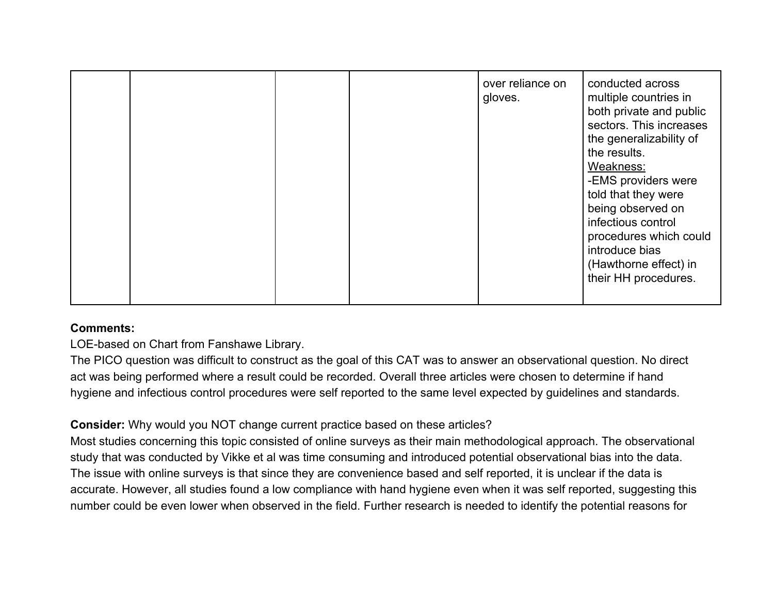|  |  |  | over reliance on<br>gloves. | conducted across<br>multiple countries in<br>both private and public<br>sectors. This increases<br>the generalizability of<br>the results.<br>Weakness:<br>-EMS providers were<br>told that they were<br>being observed on<br>infectious control<br>procedures which could<br>introduce bias<br>(Hawthorne effect) in<br>their HH procedures. |
|--|--|--|-----------------------------|-----------------------------------------------------------------------------------------------------------------------------------------------------------------------------------------------------------------------------------------------------------------------------------------------------------------------------------------------|
|--|--|--|-----------------------------|-----------------------------------------------------------------------------------------------------------------------------------------------------------------------------------------------------------------------------------------------------------------------------------------------------------------------------------------------|

### **Comments:**

LOE-based on Chart from Fanshawe Library.

The PICO question was difficult to construct as the goal of this CAT was to answer an observational question. No direct act was being performed where a result could be recorded. Overall three articles were chosen to determine if hand hygiene and infectious control procedures were self reported to the same level expected by guidelines and standards.

# **Consider:** Why would you NOT change current practice based on these articles?

Most studies concerning this topic consisted of online surveys as their main methodological approach. The observational study that was conducted by Vikke et al was time consuming and introduced potential observational bias into the data. The issue with online surveys is that since they are convenience based and self reported, it is unclear if the data is accurate. However, all studies found a low compliance with hand hygiene even when it was self reported, suggesting this number could be even lower when observed in the field. Further research is needed to identify the potential reasons for